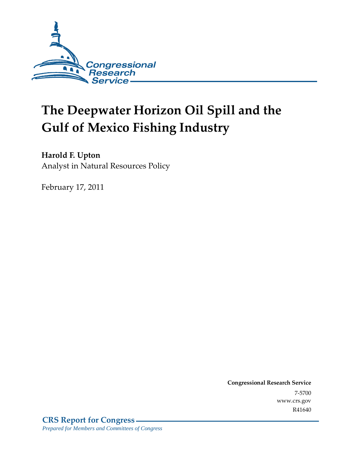

# **The Deepwater Horizon Oil Spill and the Gulf of Mexico Fishing Industry**

## **Harold F. Upton**

Analyst in Natural Resources Policy

February 17, 2011

**Congressional Research Service** 7-5700 www.crs.gov R41640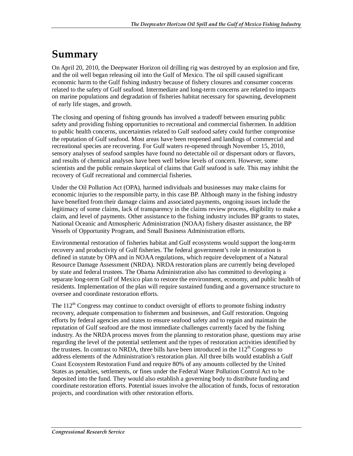## **Summary**

On April 20, 2010, the Deepwater Horizon oil drilling rig was destroyed by an explosion and fire, and the oil well began releasing oil into the Gulf of Mexico. The oil spill caused significant economic harm to the Gulf fishing industry because of fishery closures and consumer concerns related to the safety of Gulf seafood. Intermediate and long-term concerns are related to impacts on marine populations and degradation of fisheries habitat necessary for spawning, development of early life stages, and growth.

The closing and opening of fishing grounds has involved a tradeoff between ensuring public safety and providing fishing opportunities to recreational and commercial fishermen. In addition to public health concerns, uncertainties related to Gulf seafood safety could further compromise the reputation of Gulf seafood. Most areas have been reopened and landings of commercial and recreational species are recovering. For Gulf waters re-opened through November 15, 2010, sensory analyses of seafood samples have found no detectable oil or dispersant odors or flavors, and results of chemical analyses have been well below levels of concern. However, some scientists and the public remain skeptical of claims that Gulf seafood is safe. This may inhibit the recovery of Gulf recreational and commercial fisheries.

Under the Oil Pollution Act (OPA), harmed individuals and businesses may make claims for economic injuries to the responsible party, in this case BP. Although many in the fishing industry have benefited from their damage claims and associated payments, ongoing issues include the legitimacy of some claims, lack of transparency in the claims review process, eligibility to make a claim, and level of payments. Other assistance to the fishing industry includes BP grants to states, National Oceanic and Atmospheric Administration (NOAA) fishery disaster assistance, the BP Vessels of Opportunity Program, and Small Business Administration efforts.

Environmental restoration of fisheries habitat and Gulf ecosystems would support the long-term recovery and productivity of Gulf fisheries. The federal government's role in restoration is defined in statute by OPA and in NOAA regulations, which require development of a Natural Resource Damage Assessment (NRDA). NRDA restoration plans are currently being developed by state and federal trustees. The Obama Administration also has committed to developing a separate long-term Gulf of Mexico plan to restore the environment, economy, and public health of residents. Implementation of the plan will require sustained funding and a governance structure to oversee and coordinate restoration efforts.

The  $112<sup>th</sup>$  Congress may continue to conduct oversight of efforts to promote fishing industry recovery, adequate compensation to fishermen and businesses, and Gulf restoration. Ongoing efforts by federal agencies and states to ensure seafood safety and to regain and maintain the reputation of Gulf seafood are the most immediate challenges currently faced by the fishing industry. As the NRDA process moves from the planning to restoration phase, questions may arise regarding the level of the potential settlement and the types of restoration activities identified by the trustees. In contrast to NRDA, three bills have been introduced in the  $112<sup>th</sup>$  Congress to address elements of the Administration's restoration plan. All three bills would establish a Gulf Coast Ecosystem Restoration Fund and require 80% of any amounts collected by the United States as penalties, settlements, or fines under the Federal Water Pollution Control Act to be deposited into the fund. They would also establish a governing body to distribute funding and coordinate restoration efforts. Potential issues involve the allocation of funds, focus of restoration projects, and coordination with other restoration efforts.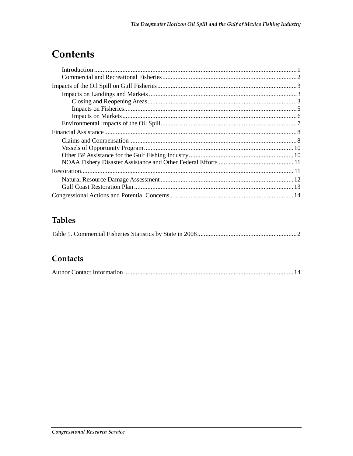## Contents

## **Tables**

|--|--|

## Contacts

|--|--|--|--|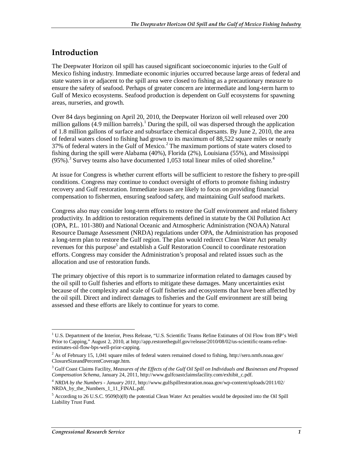### **Introduction**

The Deepwater Horizon oil spill has caused significant socioeconomic injuries to the Gulf of Mexico fishing industry. Immediate economic injuries occurred because large areas of federal and state waters in or adjacent to the spill area were closed to fishing as a precautionary measure to ensure the safety of seafood. Perhaps of greater concern are intermediate and long-term harm to Gulf of Mexico ecosystems. Seafood production is dependent on Gulf ecosystems for spawning areas, nurseries, and growth.

Over 84 days beginning on April 20, 2010, the Deepwater Horizon oil well released over 200 million gallons (4.9 million barrels).<sup>1</sup> During the spill, oil was dispersed through the application of 1.8 million gallons of surface and subsurface chemical dispersants. By June 2, 2010, the area of federal waters closed to fishing had grown to its maximum of 88,522 square miles or nearly 37% of federal waters in the Gulf of Mexico.<sup>2</sup> The maximum portions of state waters closed to fishing during the spill were Alabama (40%), Florida (2%), Louisiana (55%), and Mississippi  $(95\%)$ .<sup>3</sup> Survey teams also have documented 1,053 total linear miles of oiled shoreline.<sup>4</sup>

At issue for Congress is whether current efforts will be sufficient to restore the fishery to pre-spill conditions. Congress may continue to conduct oversight of efforts to promote fishing industry recovery and Gulf restoration. Immediate issues are likely to focus on providing financial compensation to fishermen, ensuring seafood safety, and maintaining Gulf seafood markets.

Congress also may consider long-term efforts to restore the Gulf environment and related fishery productivity. In addition to restoration requirements defined in statute by the Oil Pollution Act (OPA, P.L. 101-380) and National Oceanic and Atmospheric Administration (NOAA) Natural Resource Damage Assessment (NRDA) regulations under OPA, the Administration has proposed a long-term plan to restore the Gulf region. The plan would redirect Clean Water Act penalty revenues for this purpose<sup>5</sup> and establish a Gulf Restoration Council to coordinate restoration efforts. Congress may consider the Administration's proposal and related issues such as the allocation and use of restoration funds.

The primary objective of this report is to summarize information related to damages caused by the oil spill to Gulf fisheries and efforts to mitigate these damages. Many uncertainties exist because of the complexity and scale of Gulf fisheries and ecosystems that have been affected by the oil spill. Direct and indirect damages to fisheries and the Gulf environment are still being assessed and these efforts are likely to continue for years to come.

**<sup>1</sup>**<br><sup>1</sup> U.S. Department of the Interior, Press Release, "U.S. Scientific Teams Refine Estimates of Oil Flow from BP's Well Prior to Capping," August 2, 2010, at http://app.restorethegulf.gov/release/2010/08/02/us-scientific-teams-refineestimates-oil-flow-bps-well-prior-capping.

<sup>&</sup>lt;sup>2</sup> As of February 15, 1,041 square miles of federal waters remained closed to fishing, http://sero.nmfs.noaa.gov/ ClosureSizeandPercentCoverage.htm.

<sup>3</sup> Gulf Coast Claims Facility, *Measures of the Effects of the Gulf Oil Spill on Individuals and Businesses and Proposed Compensation Schema*, January 24, 2011, http://www.gulfcoastclaimsfacility.com/exhibit\_c.pdf.

<sup>4</sup> *NRDA by the Numbers - January 2011*, http://www.gulfspillrestoration.noaa.gov/wp-content/uploads/2011/02/ NRDA\_by\_the\_Numbers\_1\_11\_FINAL.pdf.

<sup>&</sup>lt;sup>5</sup> According to 26 U.S.C. 9509(b)(8) the potential Clean Water Act penalties would be deposited into the Oil Spill Liability Trust Fund.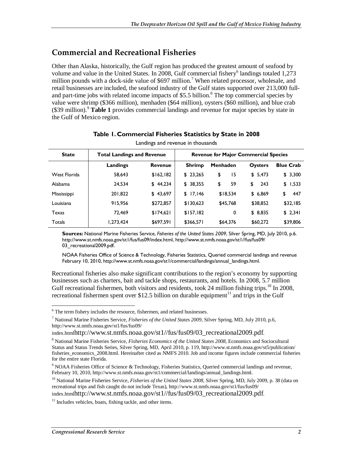## **Commercial and Recreational Fisheries**

Other than Alaska, historically, the Gulf region has produced the greatest amount of seafood by volume and value in the United States. In 2008, Gulf commercial fishery<sup>6</sup> landings totaled 1,273 million pounds with a dock-side value of \$697 million.<sup>7</sup> When related processor, wholesale, and retail businesses are included, the seafood industry of the Gulf states supported over 213,000 fulland part-time jobs with related income impacts of \$5.5 billion.<sup>8</sup> The top commercial species by value were shrimp (\$366 million), menhaden (\$64 million), oysters (\$60 million), and blue crab (\$39 million).<sup>9</sup> Table 1 provides commercial landings and revenue for major species by state in the Gulf of Mexico region.

| <b>State</b> | <b>Total Landings and Revenue</b> |                | <b>Revenue for Major Commercial Species</b> |                 |                |                  |
|--------------|-----------------------------------|----------------|---------------------------------------------|-----------------|----------------|------------------|
|              | Landings                          | <b>Revenue</b> | <b>Shrimp</b>                               | <b>Menhaden</b> | <b>Oysters</b> | <b>Blue Crab</b> |
| West Florida | 58,643                            | \$162,182      | \$23,265                                    | 15<br>\$        | \$5,473        | \$3,300          |
| Alabama      | 24.534                            | \$44,234       | \$38,355                                    | 59<br>\$        | 243<br>\$      | \$1,533          |
| Mississippi  | 201.822                           | \$43,697       | \$17,146                                    | \$18,534        | \$6,869        | 447<br>\$        |
| Louisiana    | 915,956                           | \$272,857      | \$130,623                                   | \$45,768        | \$38,852       | \$32,185         |
| Texas        | 72.469                            | \$174,621      | \$157,182                                   | 0               | \$8,835        | \$2,341          |
| Totals       | 1,273,424                         | \$697,591      | \$366,571                                   | \$64,376        | \$60,272       | \$39,806         |

#### **Table 1. Commercial Fisheries Statistics by State in 2008**  Landings and revenue in thousands

**Sources:** National Marine Fisheries Service, *Fisheries of the United States 2009*, Silver Spring, MD, July 2010, p.6. http://www.st.nmfs.noaa.gov/st1/fus/fus09/index.html, http://www.st.nmfs.noaa.gov/st1//fus/fus09/ 03 recreational2009.pdf.

NOAA Fisheries Office of Science & Technology, Fisheries Statistics, Queried commercial landings and revenue February 10, 2010, http://www.st.nmfs.noaa.gov/st1/commercial/landings/annual\_landings.html.

Recreational fisheries also make significant contributions to the region's economy by supporting businesses such as charters, bait and tackle shops, restaurants, and hotels. In 2008, 5.7 million Gulf recreational fishermen, both visitors and residents, took 24 million fishing trips.<sup>10</sup> In 2008, recreational fishermen spent over \$12.5 billion on durable equipment<sup>11</sup> and trips in the Gulf

index.htmlhttp://www.st.nmfs.noaa.gov/st1//fus/fus09/03\_recreational2009.pdf.

The term fishery includes the resource, fishermen, and related businesses.

<sup>7</sup> National Marine Fisheries Service, *Fisheries of the United States 2009*, Silver Spring, MD, July 2010, p.6, http://www.st.nmfs.noaa.gov/st1/fus/fus09/

index.htmlhttp://www.st.nmfs.noaa.gov/st1//fus/fus09/03\_recreational2009.pdf.

<sup>8</sup> National Marine Fisheries Service, *Fisheries Economics of the United States 2008*, Economics and Sociocultural Status and Status Trends Series, Silver Spring, MD, April 2010, p. 119, http://www.st.nmfs.noaa.gov/st5/publication/ fisheries\_economics\_2008.html. Hereinafter cited as NMFS 2010. Job and income figures include commercial fisheries for the entire state Florida.

<sup>&</sup>lt;sup>9</sup> NOAA Fisheries Office of Science & Technology, Fisheries Statistics, Queried commercial landings and revenue, February 10, 2010, http://www.st.nmfs.noaa.gov/st1/commercial/landings/annual\_landings.html.

<sup>10</sup> National Marine Fisheries Service, *Fisheries of the United States 2008*, Silver Spring, MD, July 2009, p. 38 (data on recreational trips and fish caught do not include Texas), http://www.st.nmfs.noaa.gov/st1/fus/fus09/

 $11$  Includes vehicles, boats, fishing tackle, and other items.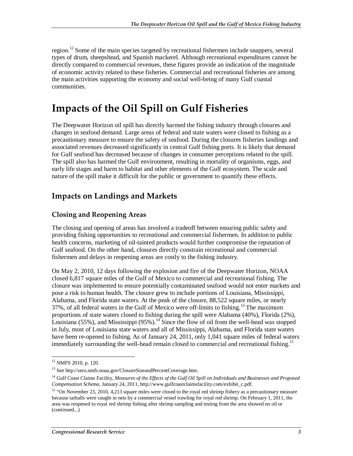region.<sup>12</sup> Some of the main species targeted by recreational fishermen include snappers, several types of drum, sheepshead, and Spanish mackerel. Although recreational expenditures cannot be directly compared to commercial revenues, these figures provide an indication of the magnitude of economic activity related to these fisheries. Commercial and recreational fisheries are among the main activities supporting the economy and social well-being of many Gulf coastal communities.

## **Impacts of the Oil Spill on Gulf Fisheries**

The Deepwater Horizon oil spill has directly harmed the fishing industry through closures and changes in seafood demand. Large areas of federal and state waters were closed to fishing as a precautionary measure to ensure the safety of seafood. During the closures fisheries landings and associated revenues decreased significantly in central Gulf fishing ports. It is likely that demand for Gulf seafood has decreased because of changes in consumer perceptions related to the spill. The spill also has harmed the Gulf environment, resulting in mortality of organisms, eggs, and early life stages and harm to habitat and other elements of the Gulf ecosystem. The scale and nature of the spill make it difficult for the public or government to quantify these effects.

## **Impacts on Landings and Markets**

#### **Closing and Reopening Areas**

The closing and opening of areas has involved a tradeoff between ensuring public safety and providing fishing opportunities to recreational and commercial fishermen. In addition to public health concerns, marketing of oil-tainted products would further compromise the reputation of Gulf seafood. On the other hand, closures directly constrain recreational and commercial fishermen and delays in reopening areas are costly to the fishing industry.

On May 2, 2010, 12 days following the explosion and fire of the Deepwater Horizon, NOAA closed 6,817 square miles of the Gulf of Mexico to commercial and recreational fishing. The closure was implemented to ensure potentially contaminated seafood would not enter markets and pose a risk to human health. The closure grew to include portions of Louisiana, Mississippi, Alabama, and Florida state waters. At the peak of the closure, 88,522 square miles, or nearly 37%, of all federal waters in the Gulf of Mexico were off-limits to fishing.<sup>13</sup> The maximum proportions of state waters closed to fishing during the spill were Alabama (40%), Florida (2%), Louisiana (55%), and Mississippi  $(95\%)$ .<sup>14</sup> Since the flow of oil from the well-head was stopped in July, most of Louisiana state waters and all of Mississippi, Alabama, and Florida state waters have been re-opened to fishing. As of January 24, 2011, only 1,041 square miles of federal waters immediately surrounding the well-head remain closed to commercial and recreational fishing.<sup>15</sup>

 $\frac{1}{1}$ 12 NMFS 2010, p. 120.

<sup>13</sup> See http://sero.nmfs.noaa.gov/ClosureSizeandPercentCoverage.htm.

<sup>14</sup> Gulf Coast Claims Facility, *Measures of the Effects of the Gulf Oil Spill on Individuals and Businesses and Proposed Compensation Schema*, January 24, 2011, http://www.gulfcoastclaimsfacility.com/exhibit\_c.pdf.

<sup>&</sup>lt;sup>15</sup> "On November 23, 2010, 4,213 square miles were closed to the royal red shrimp fishery as a precautionary measure because tarballs were caught in nets by a commercial vessel trawling for royal red shrimp. On February 1, 2011, the area was reopened to royal red shrimp fishing after shrimp sampling and testing from the area showed no oil or (continued...)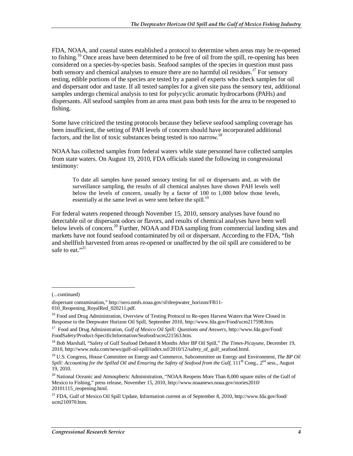FDA, NOAA, and coastal states established a protocol to determine when areas may be re-opened to fishing.<sup>16</sup> Once areas have been determined to be free of oil from the spill, re-opening has been considered on a species-by-species basis. Seafood samples of the species in question must pass both sensory and chemical analyses to ensure there are no harmful oil residues.<sup>17</sup> For sensory testing, edible portions of the species are tested by a panel of experts who check samples for oil and dispersant odor and taste. If all tested samples for a given site pass the sensory test, additional samples undergo chemical analysis to test for polycyclic aromatic hydrocarbons (PAHs) and dispersants. All seafood samples from an area must pass both tests for the area to be reopened to fishing.

Some have criticized the testing protocols because they believe seafood sampling coverage has been insufficient, the setting of PAH levels of concern should have incorporated additional factors, and the list of toxic substances being tested is too narrow.<sup>18</sup>

NOAA has collected samples from federal waters while state personnel have collected samples from state waters. On August 19, 2010, FDA officials stated the following in congressional testimony:

To date all samples have passed sensory testing for oil or dispersants and, as with the surveillance sampling, the results of all chemical analyses have shown PAH levels well below the levels of concern, usually by a factor of 100 to 1,000 below those levels, essentially at the same level as were seen before the spill.<sup>19</sup>

For federal waters reopened through November 15, 2010, sensory analyses have found no detectable oil or dispersant odors or flavors, and results of chemical analyses have been well below levels of concern.<sup>20</sup> Further, NOAA and FDA sampling from commercial landing sites and markets have not found seafood contaminated by oil or dispersant. According to the FDA, "fish and shellfish harvested from areas re-opened or unaffected by the oil spill are considered to be safe to eat."<sup>21</sup>

1

<sup>(...</sup>continued)

dispersant contamination," http://sero.nmfs.noaa.gov/sf/deepwater\_horizon/FB11-

<sup>010</sup>\_Reopening\_RoyalRed\_020211.pdf.

<sup>&</sup>lt;sup>16</sup> Food and Drug Administration, Overview of Testing Protocol to Re-open Harvest Waters that Were Closed in Response to the Deepwater Horizon Oil Spill, September 2010, http://www.fda.gov/Food/ucm217598.htm.

<sup>17</sup> Food and Drug Administration, *Gulf of Mexico Oil Spill: Questions and Answers*, http://www.fda.gov/Food/ FoodSafety/Product-SpecificInformation/Seafood/ucm221563.htm.

<sup>18</sup> Bob Marshall, "Safety of Gulf Seafood Debated 8 Months After BP Oil Spill," *The Times-Picayune*, December 19, 2010, http://www.nola.com/news/gulf-oil-spill/index.ssf/2010/12/safety\_of\_gulf\_seafood.html.

<sup>19</sup> U.S. Congress, House Committee on Energy and Commerce, Subcommittee on Energy and Environment, *The BP Oil Spill: Accounting for the Spilled Oil and Ensuring the Safety of Seafood from the Gulf*, 111<sup>th</sup> Cong., 2<sup>nd</sup> sess., August 19, 2010.

 $^{20}$  National Oceanic and Atmospheric Administration, "NOAA Reopens More Than 8,000 square miles of the Gulf of Mexico to Fishing," press release, November 15, 2010, http://www.noaanews.noaa.gov/stories2010/ 20101115 reopening.html.

<sup>&</sup>lt;sup>21</sup> FDA, Gulf of Mexico Oil Spill Update, Information current as of September 8, 2010, http://www.fda.gov/food/ ucm210970.htm.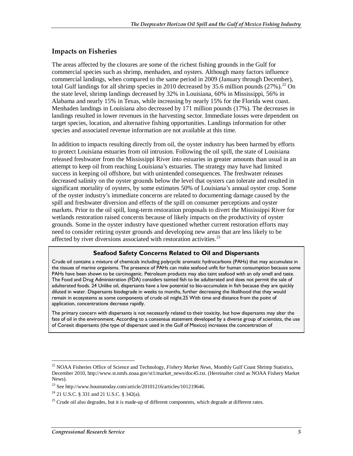#### **Impacts on Fisheries**

The areas affected by the closures are some of the richest fishing grounds in the Gulf for commercial species such as shrimp, menhaden, and oysters. Although many factors influence commercial landings, when compared to the same period in 2009 (January through December), total Gulf landings for all shrimp species in 2010 decreased by 35.6 million pounds  $(27\%)$ .<sup>22</sup> On the state level, shrimp landings decreased by 32% in Louisiana, 60% in Mississippi, 56% in Alabama and nearly 15% in Texas, while increasing by nearly 15% for the Florida west coast. Menhaden landings in Louisiana also decreased by 171 million pounds (17%). The decreases in landings resulted in lower revenues in the harvesting sector. Immediate losses were dependent on target species, location, and alternative fishing opportunities. Landings information for other species and associated revenue information are not available at this time.

In addition to impacts resulting directly from oil, the oyster industry has been harmed by efforts to protect Louisiana estuaries from oil intrusion. Following the oil spill, the state of Louisiana released freshwater from the Mississippi River into estuaries in greater amounts than usual in an attempt to keep oil from reaching Louisiana's estuaries. The strategy may have had limited success in keeping oil offshore, but with unintended consequences. The freshwater releases decreased salinity on the oyster grounds below the level that oysters can tolerate and resulted in significant mortality of oysters, by some estimates 50% of Louisiana's annual oyster crop. Some of the oyster industry's immediate concerns are related to documenting damage caused by the spill and freshwater diversion and effects of the spill on consumer perceptions and oyster markets. Prior to the oil spill, long-term restoration proposals to divert the Mississippi River for wetlands restoration raised concerns because of likely impacts on the productivity of oyster grounds. Some in the oyster industry have questioned whether current restoration efforts may need to consider retiring oyster grounds and developing new areas that are less likely to be affected by river diversions associated with restoration activities.<sup>23</sup>

#### **Seafood Safety Concerns Related to Oil and Dispersants**

Crude oil contains a mixture of chemicals including polycyclic aromatic hydrocarbons (PAHs) that may accumulate in the tissues of marine organisms. The presence of PAHs can make seafood unfit for human consumption because some PAHs have been shown to be carcinogenic. Petroleum products may also taint seafood with an oily smell and taste. The Food and Drug Administration (FDA) considers tainted fish to be adulterated and does not permit the sale of adulterated foods. 24 Unlike oil, dispersants have a low potential to bio-accumulate in fish because they are quickly diluted in water. Dispersants biodegrade in weeks to months, further decreasing the likelihood that they would remain in ecosystems as some components of crude oil might.25 With time and distance from the point of application, concentrations decrease rapidly.

The primary concern with dispersants is not necessarily related to their toxicity, but how dispersants may alter the fate of oil in the environment. According to a consensus statement developed by a diverse group of scientists, the use of Corexit dispersants (the type of dispersant used in the Gulf of Mexico) increases the concentration of

<sup>-</sup>22 NOAA Fisheries Office of Science and Technology, *Fishery Market News*, Monthly Gulf Coast Shrimp Statistics, December 2010, http://www.st.nmfs.noaa.gov/st1/market\_news/doc45.txt. (Hereinafter cited as NOAA Fishery Market News).

 $^{23}$  See http://www.houmatoday.com/article/20101216/articles/101219646.

 $^{24}$  21 U.S.C. § 331 and 21 U.S.C. § 342(a).

 $25$  Crude oil also degrades, but it is made-up of different components, which degrade at different rates.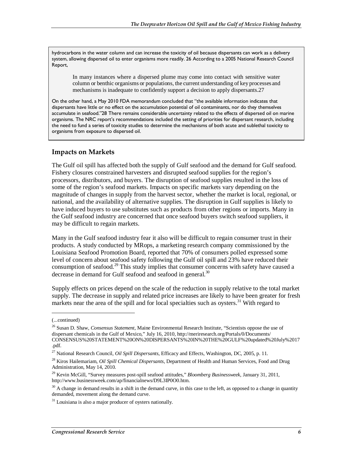hydrocarbons in the water column and can increase the toxicity of oil because dispersants can work as a delivery system, allowing dispersed oil to enter organisms more readily. 26 According to a 2005 National Research Council Report,

In many instances where a dispersed plume may come into contact with sensitive water column or benthic organisms or populations, the current understanding of key processes and mechanisms is inadequate to confidently support a decision to apply dispersants.27

On the other hand, a May 2010 FDA memorandum concluded that "the available information indicates that dispersants have little or no effect on the accumulation potential of oil contaminants, nor do they themselves accumulate in seafood."28 There remains considerable uncertainty related to the effects of dispersed oil on marine organisms. The NRC report's recommendations included the setting of priorities for dispersant research, including the need to fund a series of toxicity studies to determine the mechanisms of both acute and sublethal toxicity to organisms from exposure to dispersed oil.

#### **Impacts on Markets**

The Gulf oil spill has affected both the supply of Gulf seafood and the demand for Gulf seafood. Fishery closures constrained harvesters and disrupted seafood supplies for the region's processors, distributors, and buyers. The disruption of seafood supplies resulted in the loss of some of the region's seafood markets. Impacts on specific markets vary depending on the magnitude of changes in supply from the harvest sector, whether the market is local, regional, or national, and the availability of alternative supplies. The disruption in Gulf supplies is likely to have induced buyers to use substitutes such as products from other regions or imports. Many in the Gulf seafood industry are concerned that once seafood buyers switch seafood suppliers, it may be difficult to regain markets.

Many in the Gulf seafood industry fear it also will be difficult to regain consumer trust in their products. A study conducted by MRops, a marketing research company commissioned by the Louisiana Seafood Promotion Board, reported that 70% of consumers polled expressed some level of concern about seafood safety following the Gulf oil spill and 23% have reduced their consumption of seafood.<sup>29</sup> This study implies that consumer concerns with safety have caused a decrease in demand for Gulf seafood and seafood in general.<sup>30</sup>

Supply effects on prices depend on the scale of the reduction in supply relative to the total market supply. The decrease in supply and related price increases are likely to have been greater for fresh markets near the area of the spill and for local specialties such as oysters.<sup>31</sup> With regard to

<u>.</u>

<sup>(...</sup>continued)

<sup>26</sup> Susan D. Shaw, *Consensus Statement*, Maine Environmental Research Institute, "Scientists oppose the use of dispersant chemicals in the Gulf of Mexico," July 16, 2010, http://meriresearch.org/Portals/0/Documents/ CONSENSUS%20STATEMENT%20ON%20DISPERSANTS%20IN%20THE%20GULF%20updated%20July%2017 .pdf.

<sup>27</sup> National Research Council, *Oil Spill Dispersants*, Efficacy and Effects, Washington, DC, 2005, p. 11.

<sup>28</sup> Kiros Hailemariam, *Oil Spill Chemical Dispersants*, Department of Health and Human Services, Food and Drug Administration, May 14, 2010.

<sup>29</sup> Kevin McGill, "Survey measures post-spill seafood attitudes," *Bloomberg Businessweek*, January 31, 2011, http://www.businessweek.com/ap/financialnews/D9L3IP0O0.htm.

 $30$  A change in demand results in a shift in the demand curve, in this case to the left, as opposed to a change in quantity demanded, movement along the demand curve.

 $31$  Louisiana is also a major producer of oysters nationally.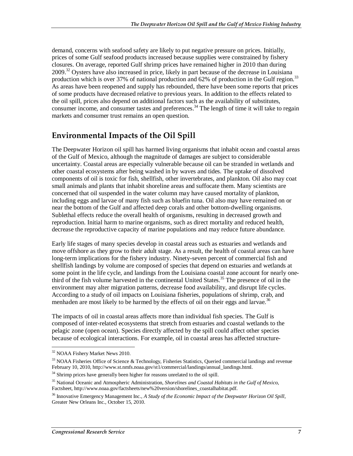demand, concerns with seafood safety are likely to put negative pressure on prices. Initially, prices of some Gulf seafood products increased because supplies were constrained by fishery closures. On average, reported Gulf shrimp prices have remained higher in 2010 than during  $2009<sup>32</sup>$  Oysters have also increased in price, likely in part because of the decrease in Louisiana production which is over 37% of national production and 62% of production in the Gulf region.<sup>33</sup> As areas have been reopened and supply has rebounded, there have been some reports that prices of some products have decreased relative to previous years. In addition to the effects related to the oil spill, prices also depend on additional factors such as the availability of substitutes, consumer income, and consumer tastes and preferences.<sup>34</sup> The length of time it will take to regain markets and consumer trust remains an open question.

## **Environmental Impacts of the Oil Spill**

The Deepwater Horizon oil spill has harmed living organisms that inhabit ocean and coastal areas of the Gulf of Mexico, although the magnitude of damages are subject to considerable uncertainty. Coastal areas are especially vulnerable because oil can be stranded in wetlands and other coastal ecosystems after being washed in by waves and tides. The uptake of dissolved components of oil is toxic for fish, shellfish, other invertebrates, and plankton. Oil also may coat small animals and plants that inhabit shoreline areas and suffocate them. Many scientists are concerned that oil suspended in the water column may have caused mortality of plankton, including eggs and larvae of many fish such as bluefin tuna. Oil also may have remained on or near the bottom of the Gulf and affected deep corals and other bottom-dwelling organisms. Sublethal effects reduce the overall health of organisms, resulting in decreased growth and reproduction. Initial harm to marine organisms, such as direct mortality and reduced health, decrease the reproductive capacity of marine populations and may reduce future abundance.

Early life stages of many species develop in coastal areas such as estuaries and wetlands and move offshore as they grow to their adult stage. As a result, the health of coastal areas can have long-term implications for the fishery industry. Ninety-seven percent of commercial fish and shellfish landings by volume are composed of species that depend on estuaries and wetlands at some point in the life cycle, and landings from the Louisiana coastal zone account for nearly onethird of the fish volume harvested in the continental United States.<sup>35</sup> The presence of oil in the environment may alter migration patterns, decrease food availability, and disrupt life cycles. According to a study of oil impacts on Louisiana fisheries, populations of shrimp, crab, and menhaden are most likely to be harmed by the effects of oil on their eggs and larvae.<sup>36</sup>

The impacts of oil in coastal areas affects more than individual fish species. The Gulf is composed of inter-related ecosystems that stretch from estuaries and coastal wetlands to the pelagic zone (open ocean). Species directly affected by the spill could affect other species because of ecological interactions. For example, oil in coastal areas has affected structure-

<sup>&</sup>lt;u>.</u> <sup>32</sup> NOAA Fishery Market News 2010.

 $33$  NOAA Fisheries Office of Science & Technology, Fisheries Statistics, Queried commercial landings and revenue February 10, 2010, http://www.st.nmfs.noaa.gov/st1/commercial/landings/annual\_landings.html.

<sup>&</sup>lt;sup>34</sup> Shrimp prices have generally been higher for reasons unrelated to the oil spill.

<sup>35</sup> National Oceanic and Atmospheric Administration, *Shorelines and Coastal Habitats in the Gulf of Mexico*, Factsheet, http://www.noaa.gov/factsheets/new%20version/shorelines\_coastalhabitat.pdf.

<sup>36</sup> Innovative Emergency Management Inc., *A Study of the Economic Impact of the Deepwater Horizon Oil Spill*, Greater New Orleans Inc., October 15, 2010.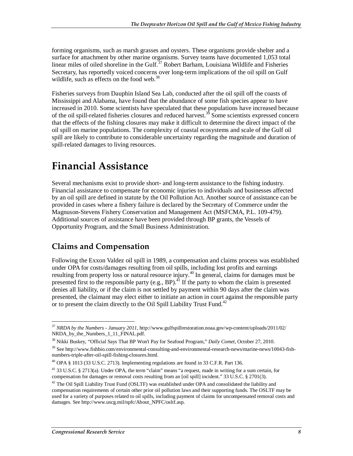forming organisms, such as marsh grasses and oysters. These organisms provide shelter and a surface for attachment by other marine organisms. Survey teams have documented 1,053 total linear miles of oiled shoreline in the Gulf.<sup>37</sup> Robert Barham, Louisiana Wildlife and Fisheries Secretary, has reportedly voiced concerns over long-term implications of the oil spill on Gulf wildlife, such as effects on the food web.<sup>38</sup>

Fisheries surveys from Dauphin Island Sea Lab, conducted after the oil spill off the coasts of Mississippi and Alabama, have found that the abundance of some fish species appear to have increased in 2010. Some scientists have speculated that these populations have increased because of the oil spill-related fisheries closures and reduced harvest.39 Some scientists expressed concern that the effects of the fishing closures may make it difficult to determine the direct impact of the oil spill on marine populations. The complexity of coastal ecosystems and scale of the Gulf oil spill are likely to contribute to considerable uncertainty regarding the magnitude and duration of spill-related damages to living resources.

## **Financial Assistance**

Several mechanisms exist to provide short- and long-term assistance to the fishing industry. Financial assistance to compensate for economic injuries to individuals and businesses affected by an oil spill are defined in statute by the Oil Pollution Act. Another source of assistance can be provided in cases where a fishery failure is declared by the Secretary of Commerce under the Magnuson-Stevens Fishery Conservation and Management Act (MSFCMA, P.L. 109-479). Additional sources of assistance have been provided through BP grants, the Vessels of Opportunity Program, and the Small Business Administration.

## **Claims and Compensation**

Following the Exxon Valdez oil spill in 1989, a compensation and claims process was established under OPA for costs/damages resulting from oil spills, including lost profits and earnings resulting from property loss or natural resource injury.<sup>40</sup> In general, claims for damages must be presented first to the responsible party (e.g., BP).<sup> $\overline{4}$ </sup> If the party to whom the claim is presented denies all liability, or if the claim is not settled by payment within 90 days after the claim was presented, the claimant may elect either to initiate an action in court against the responsible party or to present the claim directly to the Oil Spill Liability Trust Fund.<sup>42</sup>

<sup>-</sup><sup>37</sup> *NRDA by the Numbers - January 2011*, http://www.gulfspillrestoration.noaa.gov/wp-content/uploads/2011/02/ NRDA by the Numbers 1\_11\_FINAL.pdf.

<sup>38</sup> Nikki Buskey, "Official Says That BP Won't Pay for Seafood Program," *Daily Comet*, October 27, 2010.

<sup>39</sup> See http://www.fishbio.com/environmental-consulting-and-environmental-research-news/marine-news/10043-fishnumbers-triple-after-oil-spill-fishing-closures.html.

 $^{40}$  OPA § 1013 (33 U.S.C. 2713). Implementing regulations are found in 33 C.F.R. Part 136.

<sup>41 33</sup> U.S.C. § 2713(a). Under OPA, the term "claim" means "a request, made in writing for a sum certain, for compensation for damages or removal costs resulting from an [oil spill] incident." 33 U.S.C. § 2701(3).

 $42$  The Oil Spill Liability Trust Fund (OSLTF) was established under OPA and consolidated the liability and compensation requirements of certain other prior oil pollution laws and their supporting funds. The OSLTF may be used for a variety of purposes related to oil spills, including payment of claims for uncompensated removal costs and damages. See http://www.uscg.mil/npfc/About\_NPFC/osltf.asp.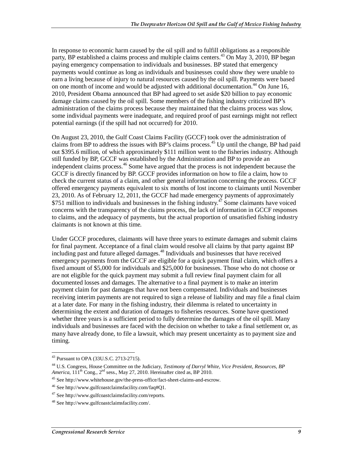In response to economic harm caused by the oil spill and to fulfill obligations as a responsible party, BP established a claims process and multiple claims centers.<sup>43</sup> On May 3, 2010, BP began paying emergency compensation to individuals and businesses. BP stated that emergency payments would continue as long as individuals and businesses could show they were unable to earn a living because of injury to natural resources caused by the oil spill. Payments were based on one month of income and would be adjusted with additional documentation.<sup>44</sup> On June 16, 2010, President Obama announced that BP had agreed to set aside \$20 billion to pay economic damage claims caused by the oil spill. Some members of the fishing industry criticized BP's administration of the claims process because they maintained that the claims process was slow, some individual payments were inadequate, and required proof of past earnings might not reflect potential earnings (if the spill had not occurred) for 2010.

On August 23, 2010, the Gulf Coast Claims Facility (GCCF) took over the administration of claims from BP to address the issues with BP's claims process.<sup>45</sup> Up until the change, BP had paid out \$395.6 million, of which approximately \$111 million went to the fisheries industry. Although still funded by BP, GCCF was established by the Administration and BP to provide an independent claims process.<sup>46</sup> Some have argued that the process is not independent because the GCCF is directly financed by BP. GCCF provides information on how to file a claim, how to check the current status of a claim, and other general information concerning the process. GCCF offered emergency payments equivalent to six months of lost income to claimants until November 23, 2010. As of February 12, 2011, the GCCF had made emergency payments of approximately  $$751$  million to individuals and businesses in the fishing industry.<sup>47</sup> Some claimants have voiced concerns with the transparency of the claims process, the lack of information in GCCF responses to claims, and the adequacy of payments, but the actual proportion of unsatisfied fishing industry claimants is not known at this time.

Under GCCF procedures, claimants will have three years to estimate damages and submit claims for final payment. Acceptance of a final claim would resolve all claims by that party against BP including past and future alleged damages.<sup>48</sup> Individuals and businesses that have received emergency payments from the GCCF are eligible for a quick payment final claim, which offers a fixed amount of \$5,000 for individuals and \$25,000 for businesses. Those who do not choose or are not eligible for the quick payment may submit a full review final payment claim for all documented losses and damages. The alternative to a final payment is to make an interim payment claim for past damages that have not been compensated. Individuals and businesses receiving interim payments are not required to sign a release of liability and may file a final claim at a later date. For many in the fishing industry, their dilemma is related to uncertainty in determining the extent and duration of damages to fisheries resources. Some have questioned whether three years is a sufficient period to fully determine the damages of the oil spill. Many individuals and businesses are faced with the decision on whether to take a final settlement or, as many have already done, to file a lawsuit, which may present uncertainty as to payment size and timing.

<sup>&</sup>lt;u>.</u> <sup>43</sup> Pursuant to OPA (33U.S.C. 2713-2715).

<sup>44</sup> U.S. Congress, House Committee on the Judiciary, *Testimony of Darryl White, Vice President, Resources, BP America*,  $111^{th}$  Cong.,  $2^{nd}$  sess., May 27, 2010. Hereinafter cited as, BP 2010.

<sup>45</sup> See http://www.whitehouse.gov/the-press-office/fact-sheet-claims-and-escrow.

<sup>46</sup> See http://www.gulfcoastclaimsfacility.com/faq#Q1.

<sup>47</sup> See http://www.gulfcoastclaimsfacility.com/reports.

<sup>48</sup> See http://www.gulfcoastclaimsfacility.com/.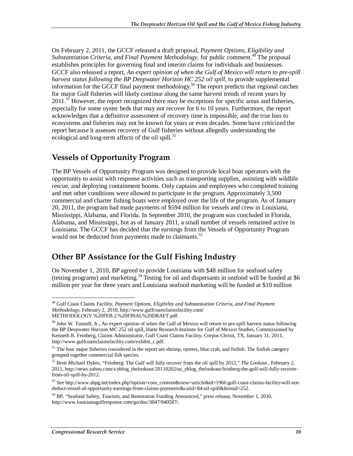On February 2, 2011, the GCCF released a draft proposal, *Payment Options, Eligibility and Substantiation Criteria, and Final Payment Methodology, for public comment.*<sup>49</sup> The proposal establishes principles for governing final and interim claims for individuals and businesses. GCCF also released a report, *An expert opinion of when the Gulf of Mexico will return to pre-spill harvest status following the BP Deepwater Horizon HC 252 oil spill*, to provide supplemental information for the GCCF final payment methodology.<sup>50</sup> The report predicts that regional catches for major Gulf fisheries will likely continue along the same harvest trends of recent years by 2011.<sup>51</sup> However, the report recognized there may be exceptions for specific areas and fisheries, especially for some oyster beds that may not recover for 6 to 10 years. Furthermore, the report acknowledges that a definitive assessment of recovery time is impossible, and the true loss to ecosystems and fisheries may not be known for years or even decades. Some have criticized the report because it assesses recovery of Gulf fisheries without allegedly understanding the ecological and long-term affects of the oil spill. $^{52}$ 

## **Vessels of Opportunity Program**

The BP Vessels of Opportunity Program was designed to provide local boat operators with the opportunity to assist with response activities such as transporting supplies, assisting with wildlife rescue, and deploying containment booms. Only captains and employees who completed training and met other conditions were allowed to participate in the program. Approximately 3,500 commercial and charter fishing boats were employed over the life of the program. As of January 20, 2011, the program had made payments of \$594 million for vessels and crew in Louisiana, Mississippi, Alabama, and Florida. In September 2010, the program was concluded in Florida, Alabama, and Mississippi, but as of January 2011, a small number of vessels remained active in Louisiana. The GCCF has decided that the earnings from the Vessels of Opportunity Program would not be deducted from payments made to claimants.<sup>53</sup>

### **Other BP Assistance for the Gulf Fishing Industry**

On November 1, 2010, BP agreed to provide Louisiana with \$48 million for seafood safety (testing programs) and marketing.<sup>54</sup> Testing for oil and dispersants in seafood will be funded at \$6 million per year for three years and Louisiana seafood marketing will be funded at \$10 million

<sup>-</sup>49 Gulf Coast Claims Facility, *Payment Options, Eligibility and Substantiation Criteria, and Final Payment Methodology*, February 2, 2010, http://www.gulfcoastclaimsfacility.com/ METHODOLOGY.%20FEB.2.%20FINAL%20DRAFT.pdf.

<sup>&</sup>lt;sup>50</sup> John W. Tunnell, Jr., An expert opinion of when the Gulf of Mexico will return to pre-spill harvest status following the BP Deepwater Horizon MC 252 oil spill, Harte Research Institute for Gulf of Mexico Studies, Commissioned by Kenneth R. Feinberg, Claims Administrator, Gulf Coast Claims Facility, Corpus Christi, TX, January 31, 2011, http://www.gulfcoastclaimsfacility.com/exhibit\_c.pdf.

<sup>&</sup>lt;sup>51</sup> The four major fisheries considered in the report are shrimp, oysters, blue crab, and finfish. The finfish category grouped together commercial fish species.

<sup>52</sup> Brett Michael Dykes, "Feinberg: The Gulf will fully recover from the oil spill by 2012," *The Lookout* , February 2, 2011, http://news.yahoo.com/s/yblog\_thelookout/20110202/us\_yblog\_thelookout/feinberg-the-gulf-will-fully-recoverfrom-oil-spill-by-2012.

<sup>53</sup> See http://www.sbpg.net/index.php?option=com\_content&view=article&id=1966:gulf-coast-claims-facility-will-notdeduct-vessel-of-opportunity-earnings-from-claims-payments&catid=84:oil-spill&Itemid=252.

<sup>&</sup>lt;sup>54</sup> BP, "Seafood Safety, Tourism, and Restoration Funding Announced," press release, November 1, 2010, http://www.louisianagulfresponse.com/go/doc/3047/940587/.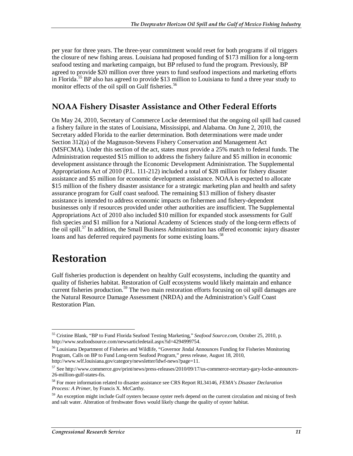per year for three years. The three-year commitment would reset for both programs if oil triggers the closure of new fishing areas. Louisiana had proposed funding of \$173 million for a long-term seafood testing and marketing campaign, but BP refused to fund the program. Previously, BP agreed to provide \$20 million over three years to fund seafood inspections and marketing efforts in Florida.<sup>55</sup> BP also has agreed to provide \$13 million to Louisiana to fund a three year study to monitor effects of the oil spill on Gulf fisheries.<sup>56</sup>

### **NOAA Fishery Disaster Assistance and Other Federal Efforts**

On May 24, 2010, Secretary of Commerce Locke determined that the ongoing oil spill had caused a fishery failure in the states of Louisiana, Mississippi, and Alabama. On June 2, 2010, the Secretary added Florida to the earlier determination. Both determinations were made under Section 312(a) of the Magnuson-Stevens Fishery Conservation and Management Act (MSFCMA). Under this section of the act, states must provide a 25% match to federal funds. The Administration requested \$15 million to address the fishery failure and \$5 million in economic development assistance through the Economic Development Administration. The Supplemental Appropriations Act of 2010 (P.L. 111-212) included a total of \$28 million for fishery disaster assistance and \$5 million for economic development assistance. NOAA is expected to allocate \$15 million of the fishery disaster assistance for a strategic marketing plan and health and safety assurance program for Gulf coast seafood. The remaining \$13 million of fishery disaster assistance is intended to address economic impacts on fishermen and fishery-dependent businesses only if resources provided under other authorities are insufficient. The Supplemental Appropriations Act of 2010 also included \$10 million for expanded stock assessments for Gulf fish species and \$1 million for a National Academy of Sciences study of the long-term effects of the oil spill.<sup>57</sup> In addition, the Small Business Administration has offered economic injury disaster loans and has deferred required payments for some existing loans.<sup>58</sup>

## **Restoration**

Gulf fisheries production is dependent on healthy Gulf ecosystems, including the quantity and quality of fisheries habitat. Restoration of Gulf ecosystems would likely maintain and enhance current fisheries production.<sup>59</sup> The two main restoration efforts focusing on oil spill damages are the Natural Resource Damage Assessment (NRDA) and the Administration's Gulf Coast Restoration Plan.

<sup>-</sup>55 Cristine Blank, "BP to Fund Florida Seafood Testing Marketing," *Seafood Source.com*, October 25, 2010, p. http://www.seafoodsource.com/newsarticledetail.aspx?id=4294999754.

<sup>56</sup> Louisiana Department of Fisheries and Wildlife, "Governor Jindal Announces Funding for Fisheries Monitoring Program, Calls on BP to Fund Long-term Seafood Program," press release, August 18, 2010, http://www.wlf.louisiana.gov/category/newsletter/ldwf-news?page=11.

<sup>57</sup> See http://www.commerce.gov/print/news/press-releases/2010/09/17/us-commerce-secretary-gary-locke-announces-26-million-gulf-states-fis.

<sup>58</sup> For more information related to disaster assistance see CRS Report RL34146, *FEMA's Disaster Declaration Process: A Primer*, by Francis X. McCarthy.

<sup>&</sup>lt;sup>59</sup> An exception might include Gulf oysters because oyster reefs depend on the current circulation and mixing of fresh and salt water. Alteration of freshwater flows would likely change the quality of oyster habitat.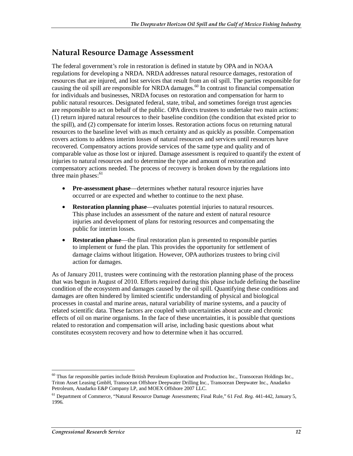### **Natural Resource Damage Assessment**

The federal government's role in restoration is defined in statute by OPA and in NOAA regulations for developing a NRDA. NRDA addresses natural resource damages, restoration of resources that are injured, and lost services that result from an oil spill. The parties responsible for causing the oil spill are responsible for NRDA damages.<sup>60</sup> In contrast to financial compensation for individuals and businesses, NRDA focuses on restoration and compensation for harm to public natural resources. Designated federal, state, tribal, and sometimes foreign trust agencies are responsible to act on behalf of the public. OPA directs trustees to undertake two main actions: (1) return injured natural resources to their baseline condition (the condition that existed prior to the spill), and (2) compensate for interim losses. Restoration actions focus on returning natural resources to the baseline level with as much certainty and as quickly as possible. Compensation covers actions to address interim losses of natural resources and services until resources have recovered. Compensatory actions provide services of the same type and quality and of comparable value as those lost or injured. Damage assessment is required to quantify the extent of injuries to natural resources and to determine the type and amount of restoration and compensatory actions needed. The process of recovery is broken down by the regulations into three main phases: $61$ 

- **Pre-assessment phase**—determines whether natural resource injuries have occurred or are expected and whether to continue to the next phase.
- **Restoration planning phase**—evaluates potential injuries to natural resources. This phase includes an assessment of the nature and extent of natural resource injuries and development of plans for restoring resources and compensating the public for interim losses.
- **Restoration phase**—the final restoration plan is presented to responsible parties to implement or fund the plan. This provides the opportunity for settlement of damage claims without litigation. However, OPA authorizes trustees to bring civil action for damages.

As of January 2011, trustees were continuing with the restoration planning phase of the process that was begun in August of 2010. Efforts required during this phase include defining the baseline condition of the ecosystem and damages caused by the oil spill. Quantifying these conditions and damages are often hindered by limited scientific understanding of physical and biological processes in coastal and marine areas, natural variability of marine systems, and a paucity of related scientific data. These factors are coupled with uncertainties about acute and chronic effects of oil on marine organisms. In the face of these uncertainties, it is possible that questions related to restoration and compensation will arise, including basic questions about what constitutes ecosystem recovery and how to determine when it has occurred.

<u>.</u>

<sup>&</sup>lt;sup>60</sup> Thus far responsible parties include British Petroleum Exploration and Production Inc., Transocean Holdings Inc., Triton Asset Leasing GmbH, Transocean Offshore Deepwater Drilling Inc., Transocean Deepwater Inc., Anadarko Petroleum, Anadarko E&P Company LP, and MOEX Offshore 2007 LLC.

<sup>61</sup> Department of Commerce, "Natural Resource Damage Assessments; Final Rule," 61 *Fed. Reg.* 441-442, January 5, 1996.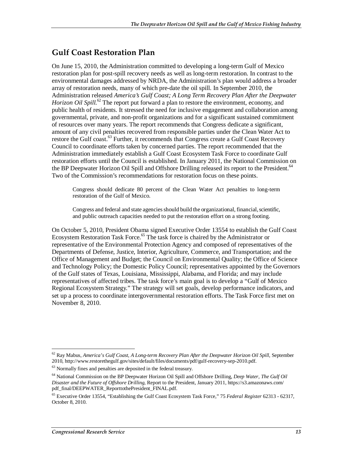## **Gulf Coast Restoration Plan**

On June 15, 2010, the Administration committed to developing a long-term Gulf of Mexico restoration plan for post-spill recovery needs as well as long-term restoration. In contrast to the environmental damages addressed by NRDA, the Administration's plan would address a broader array of restoration needs, many of which pre-date the oil spill. In September 2010, the Administration released *America's Gulf Coast; A Long Term Recovery Plan After the Deepwater Horizon Oil Spill.*<sup>62</sup> The report put forward a plan to restore the environment, economy, and public health of residents. It stressed the need for inclusive engagement and collaboration among governmental, private, and non-profit organizations and for a significant sustained commitment of resources over many years. The report recommends that Congress dedicate a significant, amount of any civil penalties recovered from responsible parties under the Clean Water Act to restore the Gulf coast.<sup>63</sup> Further, it recommends that Congress create a Gulf Coast Recovery Council to coordinate efforts taken by concerned parties. The report recommended that the Administration immediately establish a Gulf Coast Ecosystem Task Force to coordinate Gulf restoration efforts until the Council is established. In January 2011, the National Commission on the BP Deepwater Horizon Oil Spill and Offshore Drilling released its report to the President.<sup>64</sup> Two of the Commission's recommendations for restoration focus on these points.

Congress should dedicate 80 percent of the Clean Water Act penalties to long-term restoration of the Gulf of Mexico.

Congress and federal and state agencies should build the organizational, financial, scientific, and public outreach capacities needed to put the restoration effort on a strong footing.

On October 5, 2010, President Obama signed Executive Order 13554 to establish the Gulf Coast Ecosystem Restoration Task Force.<sup>65</sup> The task force is chaired by the Administrator or representative of the Environmental Protection Agency and composed of representatives of the Departments of Defense, Justice, Interior, Agriculture, Commerce, and Transportation; and the Office of Management and Budget; the Council on Environmental Quality; the Office of Science and Technology Policy; the Domestic Policy Council; representatives appointed by the Governors of the Gulf states of Texas, Louisiana, Mississippi, Alabama, and Florida; and may include representatives of affected tribes. The task force's main goal is to develop a "Gulf of Mexico Regional Ecosystem Strategy." The strategy will set goals, develop performance indicators, and set up a process to coordinate intergovernmental restoration efforts. The Task Force first met on November 8, 2010.

<sup>-</sup>62 Ray Mabus, *America's Gulf Coast, A Long-term Recovery Plan After the Deepwater Horizon Oil Spill*, September 2010, http://www.restorethegulf.gov/sites/default/files/documents/pdf/gulf-recovery-sep-2010.pdf. 63 Normally fines and penalties are deposited in the federal treasury.

<sup>64</sup> National Commission on the BP Deepwater Horizon Oil Spill and Offshore Drilling, *Deep Water, The Gulf Oil Disaster and the Future of Offshore Drilling*, Report to the President, January 2011, https://s3.amazonaws.com/ pdf\_final/DEEPWATER\_ReporttothePresident\_FINAL.pdf.

<sup>65</sup> Executive Order 13554, "Establishing the Gulf Coast Ecosystem Task Force," 75 *Federal Register* 62313 - 62317, October 8, 2010.